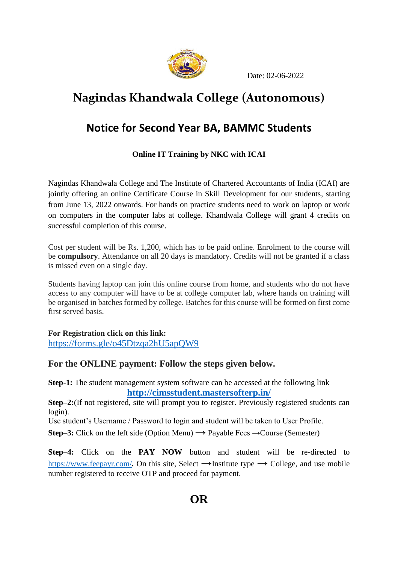

Date: 02-06-2022

# **Nagindas Khandwala College (Autonomous)**

## **Notice for Second Year BA, BAMMC Students**

## **Online IT Training by NKC with ICAI**

Nagindas Khandwala College and The Institute of Chartered Accountants of India (ICAI) are jointly offering an online Certificate Course in Skill Development for our students, starting from June 13, 2022 onwards. For hands on practice students need to work on laptop or work on computers in the computer labs at college. Khandwala College will grant 4 credits on successful completion of this course.

Cost per student will be Rs. 1,200, which has to be paid online. Enrolment to the course will be **compulsory**. Attendance on all 20 days is mandatory. Credits will not be granted if a class is missed even on a single day.

Students having laptop can join this online course from home, and students who do not have access to any computer will have to be at college computer lab, where hands on training will be organised in batches formed by college. Batches for this course will be formed on first come first served basis.

#### **For Registration click on this link:**

<https://forms.gle/o45Dtzqa2hU5apQW9>

### **For the ONLINE payment: Follow the steps given below.**

**Step-1:** The student management system software can be accessed at the following link **<http://cimsstudent.mastersofterp.in/>**

**Step–2:**(If not registered, site will prompt you to register. Previously registered students can login).

Use student's Username / Password to login and student will be taken to User Profile.

**Step–3:** Click on the left side (Option Menu)  $\rightarrow$  Payable Fees  $\rightarrow$  Course (Semester)

**Step–4:** Click on the **PAY NOW** button and student will be re-directed to <https://www.feepayr.com/>. On this site, Select  $\rightarrow$ Institute type  $\rightarrow$  College, and use mobile number registered to receive OTP and proceed for payment.